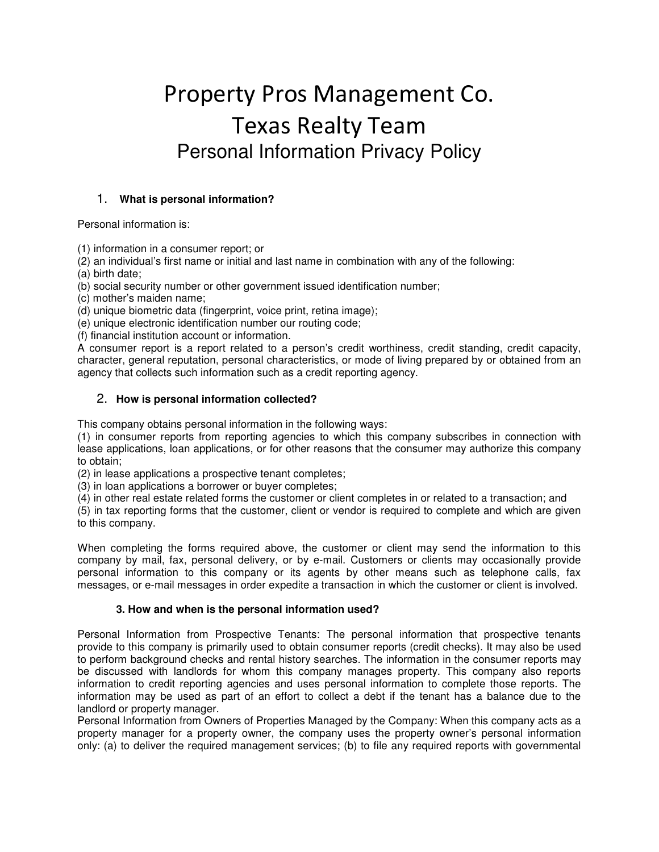# Property Pros Management Co. Texas Realty Team Personal Information Privacy Policy

## 1. **What is personal information?**

Personal information is:

(1) information in a consumer report; or

(2) an individual's first name or initial and last name in combination with any of the following:

(a) birth date;

(b) social security number or other government issued identification number;

(c) mother's maiden name;

(d) unique biometric data (fingerprint, voice print, retina image);

(e) unique electronic identification number our routing code;

(f) financial institution account or information.

A consumer report is a report related to a person's credit worthiness, credit standing, credit capacity, character, general reputation, personal characteristics, or mode of living prepared by or obtained from an agency that collects such information such as a credit reporting agency.

## 2. **How is personal information collected?**

This company obtains personal information in the following ways:

(1) in consumer reports from reporting agencies to which this company subscribes in connection with lease applications, loan applications, or for other reasons that the consumer may authorize this company to obtain;

(2) in lease applications a prospective tenant completes;

(3) in loan applications a borrower or buyer completes;

(4) in other real estate related forms the customer or client completes in or related to a transaction; and

(5) in tax reporting forms that the customer, client or vendor is required to complete and which are given to this company.

When completing the forms required above, the customer or client may send the information to this company by mail, fax, personal delivery, or by e-mail. Customers or clients may occasionally provide personal information to this company or its agents by other means such as telephone calls, fax messages, or e-mail messages in order expedite a transaction in which the customer or client is involved.

## **3. How and when is the personal information used?**

Personal Information from Prospective Tenants: The personal information that prospective tenants provide to this company is primarily used to obtain consumer reports (credit checks). It may also be used to perform background checks and rental history searches. The information in the consumer reports may be discussed with landlords for whom this company manages property. This company also reports information to credit reporting agencies and uses personal information to complete those reports. The information may be used as part of an effort to collect a debt if the tenant has a balance due to the landlord or property manager.

Personal Information from Owners of Properties Managed by the Company: When this company acts as a property manager for a property owner, the company uses the property owner's personal information only: (a) to deliver the required management services; (b) to file any required reports with governmental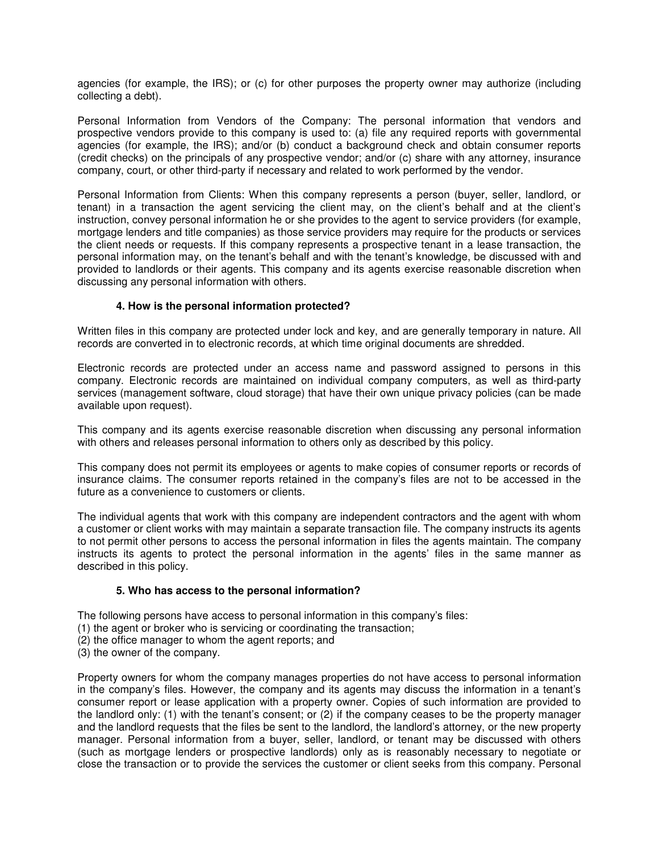agencies (for example, the IRS); or (c) for other purposes the property owner may authorize (including collecting a debt).

Personal Information from Vendors of the Company: The personal information that vendors and prospective vendors provide to this company is used to: (a) file any required reports with governmental agencies (for example, the IRS); and/or (b) conduct a background check and obtain consumer reports (credit checks) on the principals of any prospective vendor; and/or (c) share with any attorney, insurance company, court, or other third-party if necessary and related to work performed by the vendor.

Personal Information from Clients: When this company represents a person (buyer, seller, landlord, or tenant) in a transaction the agent servicing the client may, on the client's behalf and at the client's instruction, convey personal information he or she provides to the agent to service providers (for example, mortgage lenders and title companies) as those service providers may require for the products or services the client needs or requests. If this company represents a prospective tenant in a lease transaction, the personal information may, on the tenant's behalf and with the tenant's knowledge, be discussed with and provided to landlords or their agents. This company and its agents exercise reasonable discretion when discussing any personal information with others.

### **4. How is the personal information protected?**

Written files in this company are protected under lock and key, and are generally temporary in nature. All records are converted in to electronic records, at which time original documents are shredded.

Electronic records are protected under an access name and password assigned to persons in this company. Electronic records are maintained on individual company computers, as well as third-party services (management software, cloud storage) that have their own unique privacy policies (can be made available upon request).

This company and its agents exercise reasonable discretion when discussing any personal information with others and releases personal information to others only as described by this policy.

This company does not permit its employees or agents to make copies of consumer reports or records of insurance claims. The consumer reports retained in the company's files are not to be accessed in the future as a convenience to customers or clients.

The individual agents that work with this company are independent contractors and the agent with whom a customer or client works with may maintain a separate transaction file. The company instructs its agents to not permit other persons to access the personal information in files the agents maintain. The company instructs its agents to protect the personal information in the agents' files in the same manner as described in this policy.

#### **5. Who has access to the personal information?**

The following persons have access to personal information in this company's files:

- (1) the agent or broker who is servicing or coordinating the transaction;
- (2) the office manager to whom the agent reports; and
- (3) the owner of the company.

Property owners for whom the company manages properties do not have access to personal information in the company's files. However, the company and its agents may discuss the information in a tenant's consumer report or lease application with a property owner. Copies of such information are provided to the landlord only: (1) with the tenant's consent; or (2) if the company ceases to be the property manager and the landlord requests that the files be sent to the landlord, the landlord's attorney, or the new property manager. Personal information from a buyer, seller, landlord, or tenant may be discussed with others (such as mortgage lenders or prospective landlords) only as is reasonably necessary to negotiate or close the transaction or to provide the services the customer or client seeks from this company. Personal